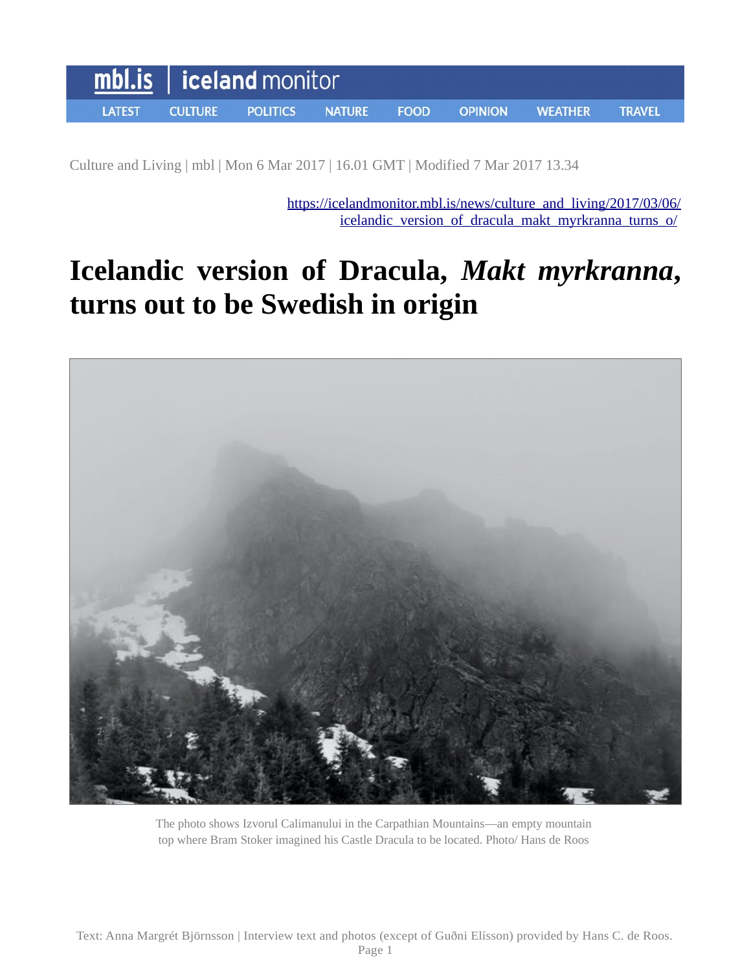

Culture and Living | mbl | Mon 6 Mar 2017 | 16.01 GMT | Modified 7 Mar 2017 13.34

[https://icelandmonitor.mbl.is/news/culture\\_and\\_living/2017/03/06/](https://icelandmonitor.mbl.is/news/culture_and_living/2017/03/06/icelandic_version_of_dracula_makt_myrkranna_turns_o/) [icelandic\\_version\\_of\\_dracula\\_makt\\_myrkranna\\_turns\\_o/](https://icelandmonitor.mbl.is/news/culture_and_living/2017/03/06/icelandic_version_of_dracula_makt_myrkranna_turns_o/)

# **Icelandic version of Dracula,** *Makt myrkranna***, turns out to be Swedish in origin**



The photo shows Izvorul Calimanului in the Carpathian Mountains—an empty mountain top where Bram Stoker imagined his Castle Dracula to be located. Photo/ Hans de Roos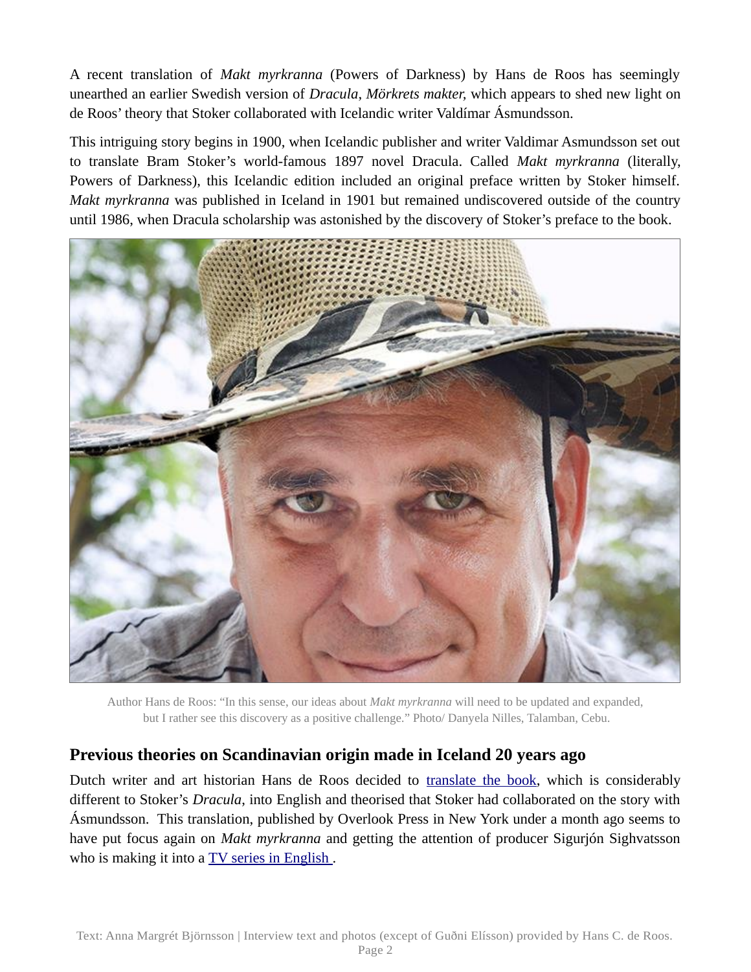A recent translation of *Makt myrkranna* (Powers of Darkness) by Hans de Roos has seemingly unearthed an earlier Swedish version of *Dracula*, *Mörkrets makter,* which appears to shed new light on de Roos' theory that Stoker collaborated with Icelandic writer Valdímar Ásmundsson.

This intriguing story begins in 1900, when Icelandic publisher and writer Valdimar Asmundsson set out to translate Bram Stoker's world-famous 1897 novel Dracula. Called *Makt myrkranna* (literally, Powers of Darkness), this Icelandic edition included an original preface written by Stoker himself. *Makt myrkranna* was published in Iceland in 1901 but remained undiscovered outside of the country until 1986, when Dracula scholarship was astonished by the discovery of Stoker's preface to the book.



Author Hans de Roos: "In this sense, our ideas about *Makt myrkranna* will need to be updated and expanded, but I rather see this discovery as a positive challenge." Photo/ Danyela Nilles, Talamban, Cebu.

#### **Previous theories on Scandinavian origin made in Iceland 20 years ago**

Dutch writer and art historian Hans de Roos decided to [translate the book,](http://icelandmonitor.mbl.is/news/culture_and_living/2017/02/13/the_powers_of_darkness_on_dracula_s_sister_version_/) which is considerably different to Stoker's *Dracula*, into English and theorised that Stoker had collaborated on the story with Ásmundsson. This translation, published by Overlook Press in New York under a month ago seems to have put focus again on *Makt myrkranna* and getting the attention of producer Sigurjón Sighvatsson who is making it into a TV series in English.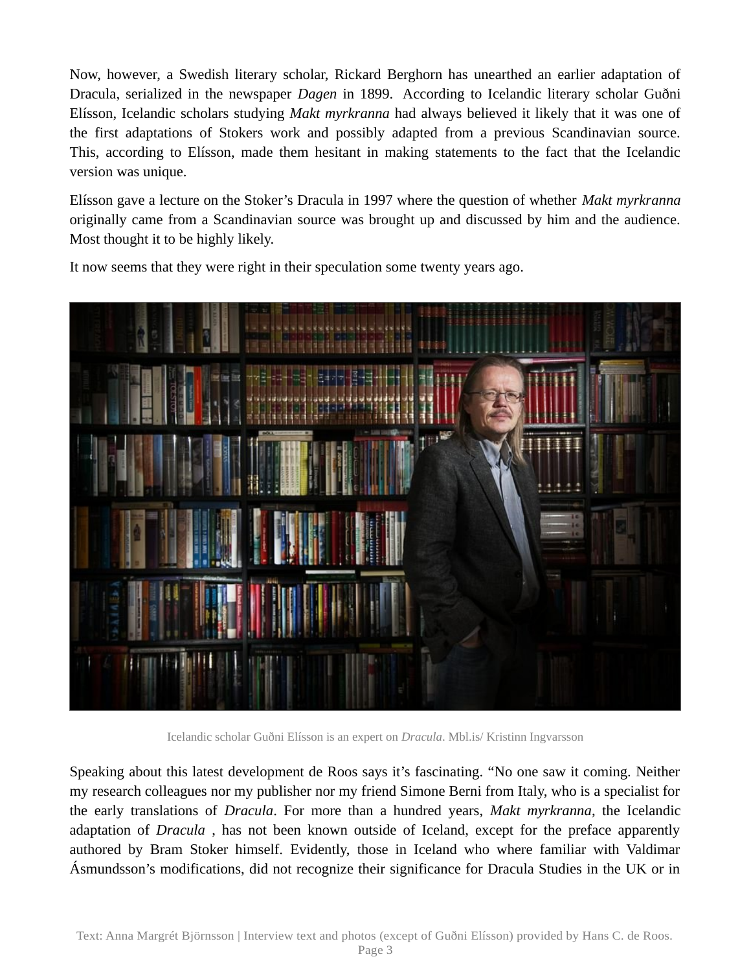Now, however, a Swedish literary scholar, Rickard Berghorn has unearthed an earlier adaptation of Dracula, serialized in the newspaper *Dagen* in 1899. According to Icelandic literary scholar Guðni Elísson, Icelandic scholars studying *Makt myrkranna* had always believed it likely that it was one of the first adaptations of Stokers work and possibly adapted from a previous Scandinavian source. This, according to Elísson, made them hesitant in making statements to the fact that the Icelandic version was unique.

Elísson gave a lecture on the Stoker's Dracula in 1997 where the question of whether *Makt myrkranna* originally came from a Scandinavian source was brought up and discussed by him and the audience. Most thought it to be highly likely.



It now seems that they were right in their speculation some twenty years ago.

Icelandic scholar Guðni Elísson is an expert on *Dracula*. Mbl.is/ Kristinn Ingvarsson

Speaking about this latest development de Roos says it's fascinating. "No one saw it coming. Neither my research colleagues nor my publisher nor my friend Simone Berni from Italy, who is a specialist for the early translations of *Dracula*. For more than a hundred years, *Makt myrkranna*, the Icelandic adaptation of *Dracula* , has not been known outside of Iceland, except for the preface apparently authored by Bram Stoker himself. Evidently, those in Iceland who where familiar with Valdimar Ásmundsson's modifications, did not recognize their significance for Dracula Studies in the UK or in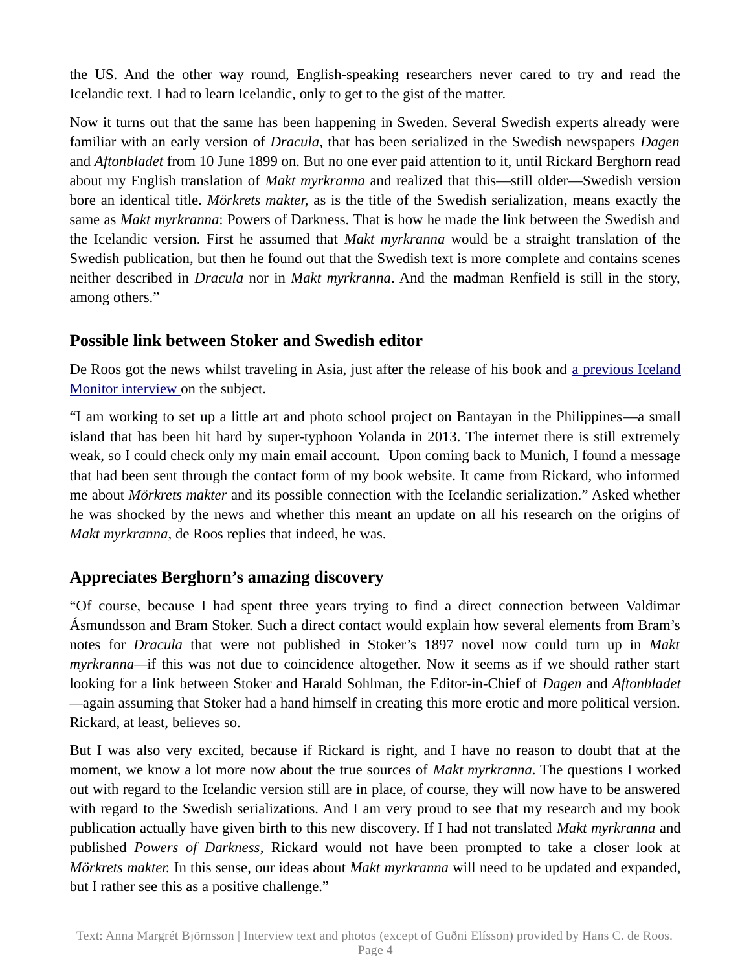the US. And the other way round, English-speaking researchers never cared to try and read the Icelandic text. I had to learn Icelandic, only to get to the gist of the matter.

Now it turns out that the same has been happening in Sweden. Several Swedish experts already were familiar with an early version of *Dracula*, that has been serialized in the Swedish newspapers *Dagen* and *Aftonbladet* from 10 June 1899 on. But no one ever paid attention to it, until Rickard Berghorn read about my English translation of *Makt myrkranna* and realized that this—still older—Swedish version bore an identical title. *Mörkrets makter,* as is the title of the Swedish serialization*,* means exactly the same as *Makt myrkranna*: Powers of Darkness. That is how he made the link between the Swedish and the Icelandic version. First he assumed that *Makt myrkranna* would be a straight translation of the Swedish publication, but then he found out that the Swedish text is more complete and contains scenes neither described in *Dracula* nor in *Makt myrkranna*. And the madman Renfield is still in the story, among others."

### **Possible link between Stoker and Swedish editor**

De Roos got the news whilst traveling in Asia, just after the release of his book and <u>[a previous Iceland](http://icelandmonitor.mbl.is/news/culture_and_living/2017/02/13/the_powers_of_darkness_on_dracula_s_sister_version_/)</u> [Monitor interview](http://icelandmonitor.mbl.is/news/culture_and_living/2017/02/13/the_powers_of_darkness_on_dracula_s_sister_version_/) on the subject.

"I am working to set up a little art and photo school project on Bantayan in the Philippines—a small island that has been hit hard by super-typhoon Yolanda in 2013. The internet there is still extremely weak, so I could check only my main email account. Upon coming back to Munich, I found a message that had been sent through the contact form of my book website. It came from Rickard, who informed me about *Mörkrets makter* and its possible connection with the Icelandic serialization." Asked whether he was shocked by the news and whether this meant an update on all his research on the origins of *Makt myrkranna*, de Roos replies that indeed, he was.

## **Appreciates Berghorn's amazing discovery**

"Of course, because I had spent three years trying to find a direct connection between Valdimar Ásmundsson and Bram Stoker. Such a direct contact would explain how several elements from Bram's notes for *Dracula* that were not published in Stoker's 1897 novel now could turn up in *Makt myrkranna—*if this was not due to coincidence altogether. Now it seems as if we should rather start looking for a link between Stoker and Harald Sohlman, the Editor-in-Chief of *Dagen* and *Aftonbladet —*again assuming that Stoker had a hand himself in creating this more erotic and more political version. Rickard, at least, believes so.

But I was also very excited, because if Rickard is right, and I have no reason to doubt that at the moment, we know a lot more now about the true sources of *Makt myrkranna*. The questions I worked out with regard to the Icelandic version still are in place, of course, they will now have to be answered with regard to the Swedish serializations. And I am very proud to see that my research and my book publication actually have given birth to this new discovery. If I had not translated *Makt myrkranna* and published *Powers of Darkness*, Rickard would not have been prompted to take a closer look at *Mörkrets makter.* In this sense, our ideas about *Makt myrkranna* will need to be updated and expanded, but I rather see this as a positive challenge."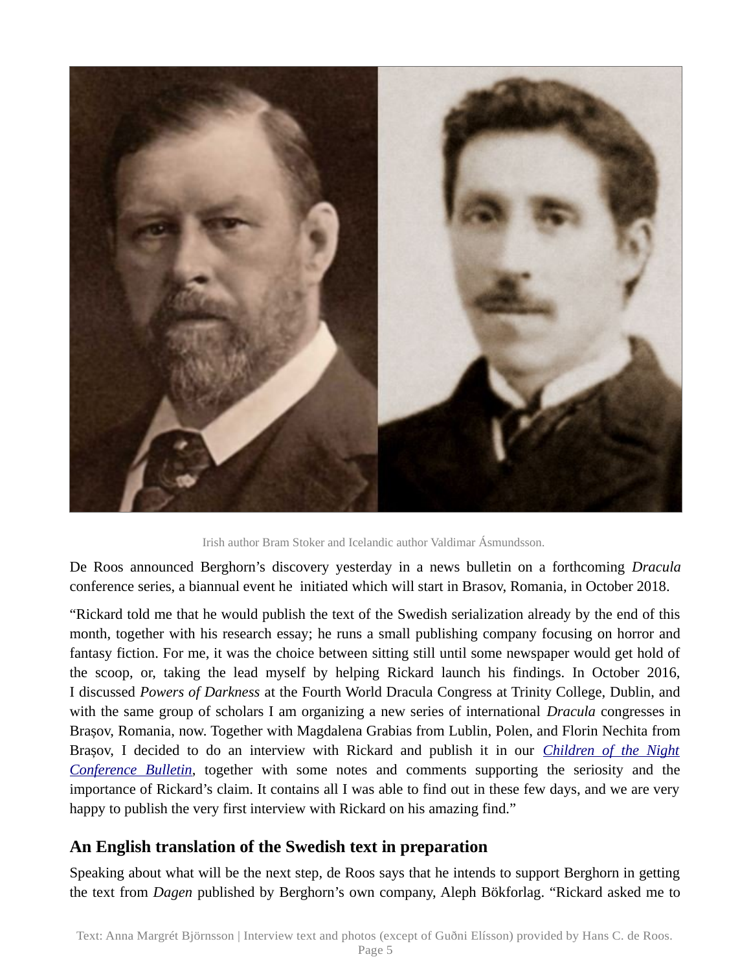

Irish author Bram Stoker and Icelandic author Valdimar Ásmundsson.

De Roos announced Berghorn's discovery yesterday in a news bulletin on a forthcoming *Dracula* conference series, a biannual event he initiated which will start in Brasov, Romania, in October 2018.

"Rickard told me that he would publish the text of the Swedish serialization already by the end of this month, together with his research essay; he runs a small publishing company focusing on horror and fantasy fiction. For me, it was the choice between sitting still until some newspaper would get hold of the scoop, or, taking the lead myself by helping Rickard launch his findings. In October 2016, I discussed *Powers of Darkness* at the Fourth World Dracula Congress at Trinity College, Dublin, and with the same group of scholars I am organizing a new series of international *Dracula* congresses in Brașov, Romania, now. Together with Magdalena Grabias from Lublin, Polen, and Florin Nechita from Brașov, I decided to do an interview with Rickard and publish it in our *[Children of the Night](https://dracongress.jimdo.com/conference-bulletin) [Conference Bulletin](https://dracongress.jimdo.com/conference-bulletin)*, together with some notes and comments supporting the seriosity and the importance of Rickard's claim. It contains all I was able to find out in these few days, and we are very happy to publish the very first interview with Rickard on his amazing find."

#### **An English translation of the Swedish text in preparation**

Speaking about what will be the next step, de Roos says that he intends to support Berghorn in getting the text from *Dagen* published by Berghorn's own company, Aleph Bökforlag. "Rickard asked me to